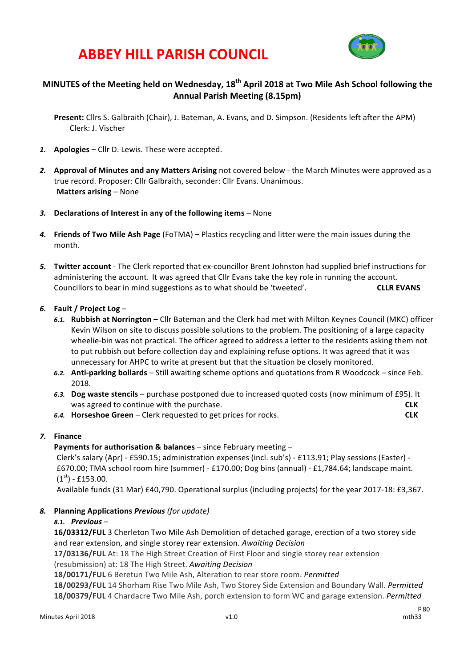# **ABBEY HILL PARISH COUNCIL**



# **MINUTES** of the Meeting held on Wednesday, 18<sup>th</sup> April 2018 at Two Mile Ash School following the **Annual Parish Meeting (8.15pm)**

Present: Cllrs S. Galbraith (Chair), J. Bateman, A. Evans, and D. Simpson. (Residents left after the APM) Clerk: J. Vischer

- 1. **Apologies** Cllr D. Lewis. These were accepted.
- **2. Approval of Minutes and any Matters Arising** not covered below the March Minutes were approved as a true record. Proposer: Cllr Galbraith, seconder: Cllr Evans. Unanimous. **Matters arising – None**
- 3. **Declarations of Interest in any of the following items** None
- 4. **Friends of Two Mile Ash Page** (FoTMA) Plastics recycling and litter were the main issues during the month.
- **5. Twitter account** The Clerk reported that ex-councillor Brent Johnston had supplied brief instructions for administering the account. It was agreed that Cllr Evans take the key role in running the account. Councillors to bear in mind suggestions as to what should be 'tweeted'. **CLLR EVANS**

### *6.* **Fault / Project Log** –

- 6.1. **Rubbish at Norrington** Cllr Bateman and the Clerk had met with Milton Keynes Council (MKC) officer Kevin Wilson on site to discuss possible solutions to the problem. The positioning of a large capacity wheelie-bin was not practical. The officer agreed to address a letter to the residents asking them not to put rubbish out before collection day and explaining refuse options. It was agreed that it was unnecessary for AHPC to write at present but that the situation be closely monitored.
- 6.2. **Anti-parking bollards** Still awaiting scheme options and quotations from R Woodcock since Feb. 2018.
- 6.3. Dog waste stencils purchase postponed due to increased quoted costs (now minimum of £95). It was agreed to continue with the purchase. **CLK**
- *6.4.* **Horseshoe Green** Clerk requested to get prices for rocks. **CLK**

#### *7.* **Finance**

# **Payments for authorisation & balances** – since February meeting –

Clerk's salary (Apr) - £590.15; administration expenses (incl. sub's) - £113.91; Play sessions (Easter) -£670.00; TMA school room hire (summer) - £170.00; Dog bins (annual) - £1,784.64; landscape maint.  $(1^{st})$  - £153.00.

Available funds (31 Mar) £40,790. Operational surplus (including projects) for the year 2017-18: £3,367.

# *8.* **Planning Applications** *Previous (for update)*

# 8.1. Previous -

16/03312/FUL 3 Cherleton Two Mile Ash Demolition of detached garage, erection of a two storey side and rear extension, and single storey rear extension. Awaiting Decision

17/03136/FUL At: 18 The High Street Creation of First Floor and single storey rear extension

(resubmission) at: 18 The High Street. *Awaiting Decision*

**18/00171/FUL** 6 Beretun Two Mile Ash, Alteration to rear store room. Permitted

18/00293/FUL 14 Shorham Rise Two Mile Ash, Two Storey Side Extension and Boundary Wall. *Permitted* **18/00379/FUL** 4 Chardacre Two Mile Ash, porch extension to form WC and garage extension. *Permitted*